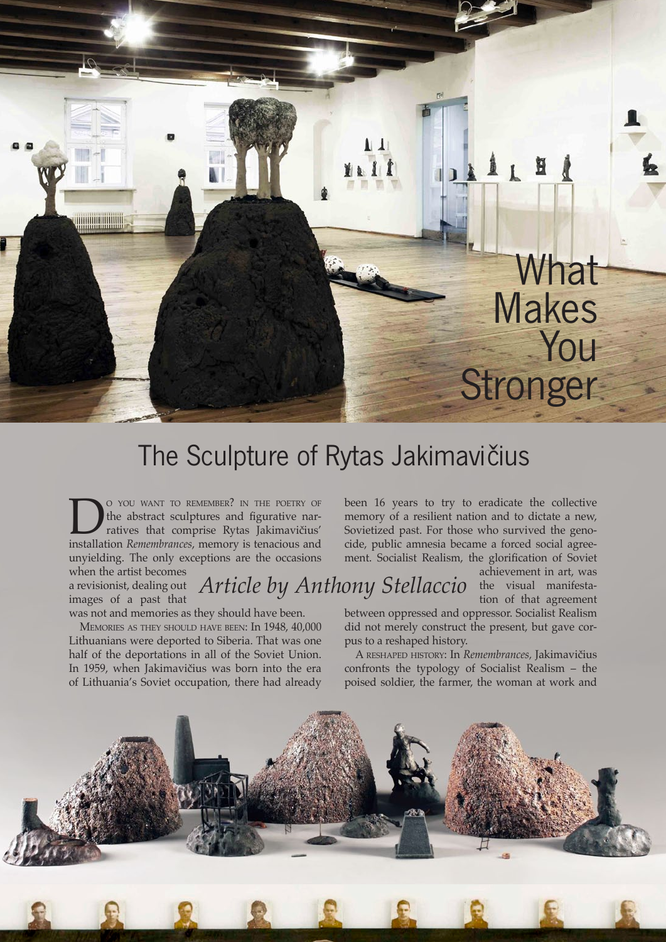## BILE What Makes You **Stronger**

## The Sculpture of Rytas Jakimavičius

**DO YOU WANT TO REMEMBER?** IN THE POETRY OF the abstract sculptures and figurative narratives that comprise Rytas Jakimavičius' installation *Remembrances*, memory is tenacious and the abstract sculptures and figurative narratives that comprise Rytas Jakimavičius' installation *Remembrances*, memory is tenacious and unyielding. The only exceptions are the occasions

when the artist becomes a revisionist, dealing out images of a past that

*Article by Anthony Stellaccio* the visual manifesta-

was not and memories as they should have been.

Memories as they should have been: In 1948, 40,000 Lithuanians were deported to Siberia. That was one half of the deportations in all of the Soviet Union. In 1959, when Jakimavičius was born into the era of Lithuania's Soviet occupation, there had already been 16 years to try to eradicate the collective memory of a resilient nation and to dictate a new, Sovietized past. For those who survived the genocide, public amnesia became a forced social agreement. Socialist Realism, the glorification of Soviet

> achievement in art, was tion of that agreement

between oppressed and oppressor. Socialist Realism did not merely construct the present, but gave corpus to a reshaped history.

A reshaped history: In *Remembrances,* Jakimavičius confronts the typology of Socialist Realism – the poised soldier, the farmer, the woman at work and

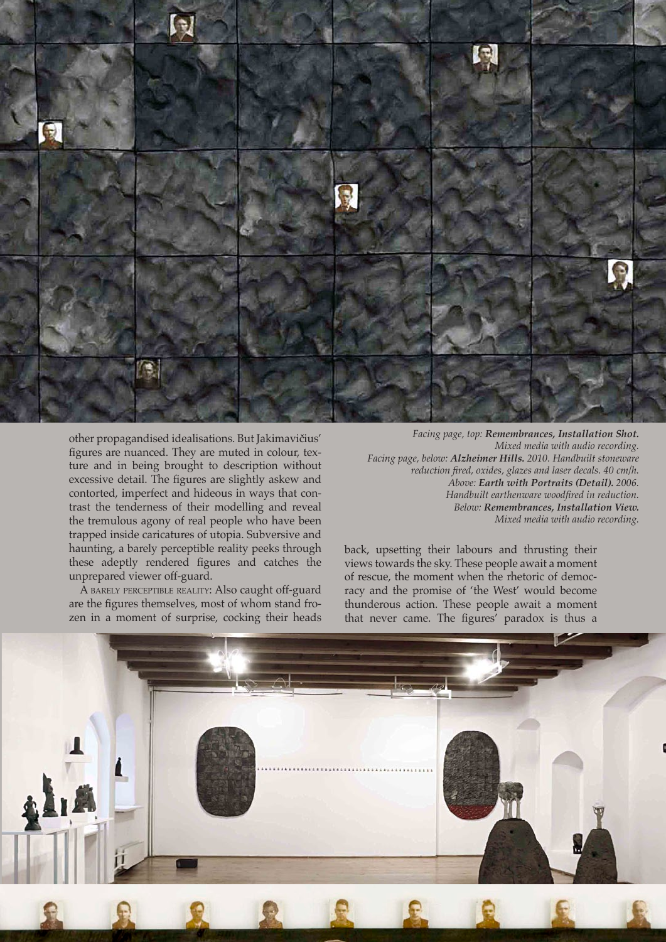

other propagandised idealisations. But Jakimavičius' figures are nuanced. They are muted in colour, texture and in being brought to description without excessive detail. The figures are slightly askew and contorted, imperfect and hideous in ways that contrast the tenderness of their modelling and reveal the tremulous agony of real people who have been trapped inside caricatures of utopia. Subversive and haunting, a barely perceptible reality peeks through these adeptly rendered figures and catches the unprepared viewer off-guard.

A barely perceptible reality: Also caught off-guard are the figures themselves, most of whom stand frozen in a moment of surprise, cocking their heads

*Facing page, top: Remembrances, Installation Shot. Mixed media with audio recording. Facing page, below: Alzheimer Hills. 2010. Handbuilt stoneware reduction fired, oxides, glazes and laser decals. 40 cm/h. Above: Earth with Portraits (Detail). 2006. Handbuilt earthenware woodfired in reduction. Below: Remembrances, Installation View. Mixed media with audio recording.*

Ceramics: Art and Perception No. 88 2012 01:

back, upsetting their labours and thrusting their views towards the sky. These people await a moment of rescue, the moment when the rhetoric of democracy and the promise of 'the West' would become thunderous action. These people await a moment that never came. The figures' paradox is thus a

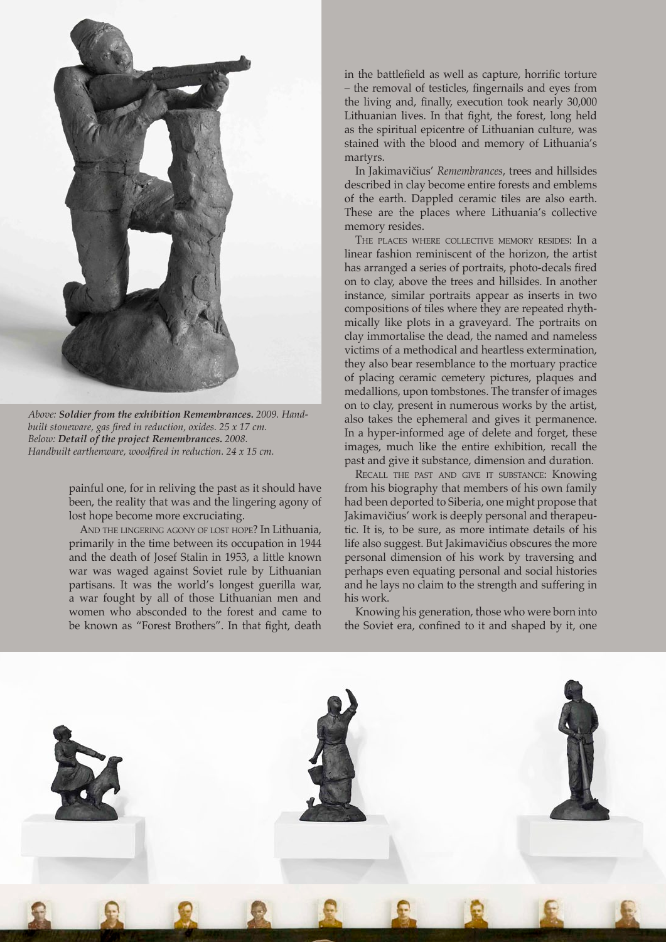

*Above: Soldier from the exhibition Remembrances. 2009. Handbuilt stoneware, gas fired in reduction, oxides. 25 x 17 cm. Below: Detail of the project Remembrances. 2008. Handbuilt earthenware, woodfired in reduction. 24 x 15 cm.*

painful one, for in reliving the past as it should have been, the reality that was and the lingering agony of lost hope become more excruciating.

And the lingering agony of lost hope? In Lithuania, primarily in the time between its occupation in 1944 and the death of Josef Stalin in 1953, a little known war was waged against Soviet rule by Lithuanian partisans. It was the world's longest guerilla war, a war fought by all of those Lithuanian men and women who absconded to the forest and came to be known as "Forest Brothers". In that fight, death

in the battlefield as well as capture, horrific torture – the removal of testicles, fingernails and eyes from the living and, finally, execution took nearly 30,000 Lithuanian lives. In that fight, the forest, long held as the spiritual epicentre of Lithuanian culture, was stained with the blood and memory of Lithuania's martyrs.

In Jakimavičius' *Remembrances*, trees and hillsides described in clay become entire forests and emblems of the earth. Dappled ceramic tiles are also earth. These are the places where Lithuania's collective memory resides.

The places where collective memory resides: In a linear fashion reminiscent of the horizon, the artist has arranged a series of portraits, photo-decals fired on to clay, above the trees and hillsides. In another instance, similar portraits appear as inserts in two compositions of tiles where they are repeated rhythmically like plots in a graveyard. The portraits on clay immortalise the dead, the named and nameless victims of a methodical and heartless extermination, they also bear resemblance to the mortuary practice of placing ceramic cemetery pictures, plaques and medallions, upon tombstones. The transfer of images on to clay, present in numerous works by the artist, also takes the ephemeral and gives it permanence. In a hyper-informed age of delete and forget, these images, much like the entire exhibition, recall the past and give it substance, dimension and duration.

Recall the past and give it substance: Knowing from his biography that members of his own family had been deported to Siberia, one might propose that Jakimavičius' work is deeply personal and therapeutic. It is, to be sure, as more intimate details of his life also suggest. But Jakimavičius obscures the more personal dimension of his work by traversing and perhaps even equating personal and social histories and he lays no claim to the strength and suffering in his work.

Knowing his generation, those who were born into the Soviet era, confined to it and shaped by it, one